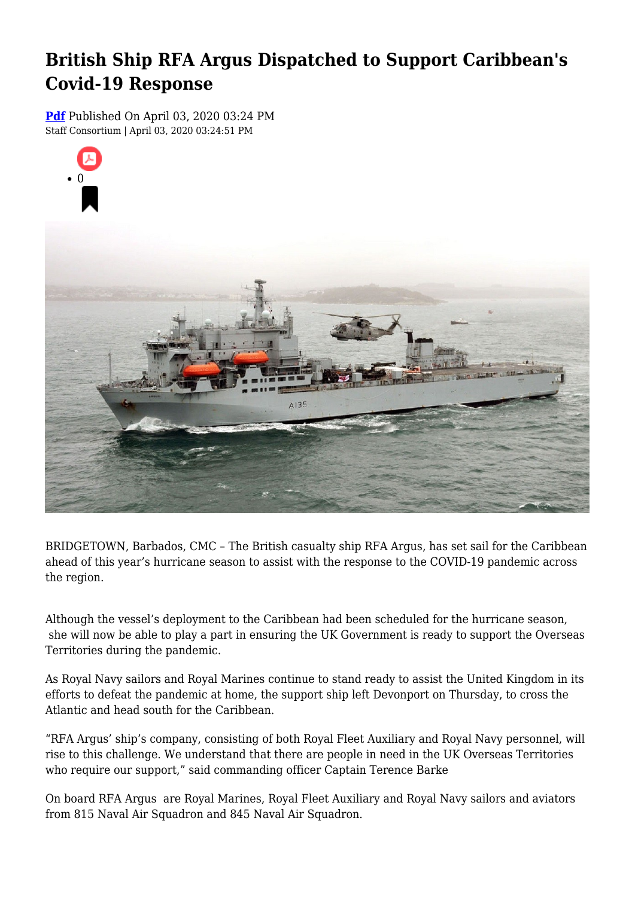# **British Ship RFA Argus Dispatched to Support Caribbean's Covid-19 Response**

**[Pdf](https://viconsortium.com/caribbean-pdf)** Published On April 03, 2020 03:24 PM Staff Consortium | April 03, 2020 03:24:51 PM



BRIDGETOWN, Barbados, CMC – The British casualty ship RFA Argus, has set sail for the Caribbean ahead of this year's hurricane season to assist with the response to the COVID-19 pandemic across the region.

Although the vessel's deployment to the Caribbean had been scheduled for the hurricane season, she will now be able to play a part in ensuring the UK Government is ready to support the Overseas Territories during the pandemic.

As Royal Navy sailors and Royal Marines continue to stand ready to assist the United Kingdom in its efforts to defeat the pandemic at home, the support ship left Devonport on Thursday, to cross the Atlantic and head south for the Caribbean.

"RFA Argus' ship's company, consisting of both Royal Fleet Auxiliary and Royal Navy personnel, will rise to this challenge. We understand that there are people in need in the UK Overseas Territories who require our support," said commanding officer Captain Terence Barke

On board RFA Argus are Royal Marines, Royal Fleet Auxiliary and Royal Navy sailors and aviators from 815 Naval Air Squadron and 845 Naval Air Squadron.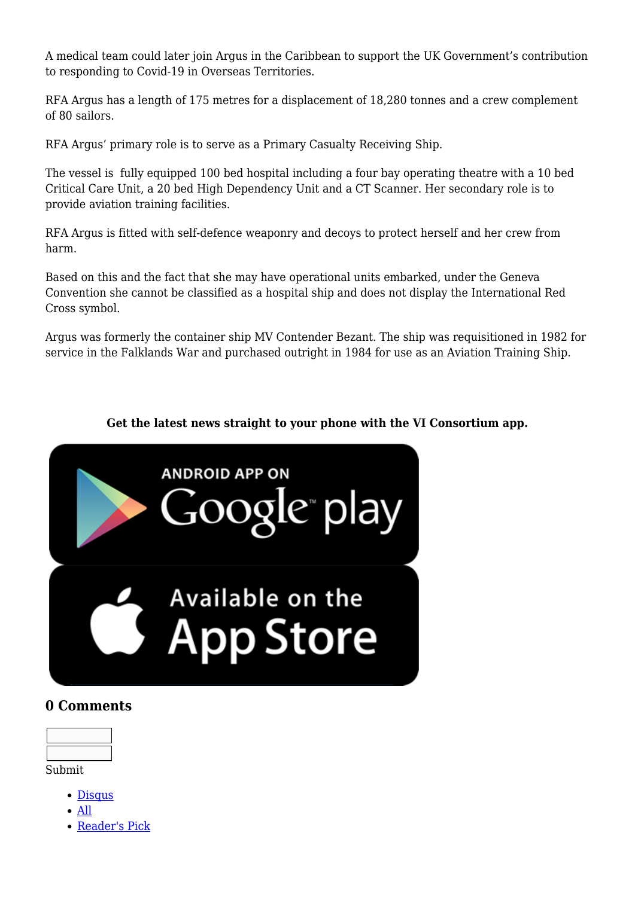A medical team could later join Argus in the Caribbean to support the UK Government's contribution to responding to Covid-19 in Overseas Territories.

RFA Argus has a length of 175 metres for a displacement of 18,280 tonnes and a crew complement of 80 sailors.

RFA Argus' primary role is to serve as a Primary Casualty Receiving Ship.

The vessel is fully equipped 100 bed hospital including a four bay operating theatre with a 10 bed Critical Care Unit, a 20 bed High Dependency Unit and a CT Scanner. Her secondary role is to provide aviation training facilities.

RFA Argus is fitted with self-defence weaponry and decoys to protect herself and her crew from harm.

Based on this and the fact that she may have operational units embarked, under the Geneva Convention she cannot be classified as a hospital ship and does not display the International Red Cross symbol.

Argus was formerly the container ship MV Contender Bezant. The ship was requisitioned in 1982 for service in the Falklands War and purchased outright in 1984 for use as an Aviation Training Ship.

#### **Get the latest news straight to your phone with the VI Consortium app.**



## **0 Comments**



- Submit
	- [Disqus](#page--1-0)
	- [All](#page--1-0)
	- [Reader's Pick](#page--1-0)